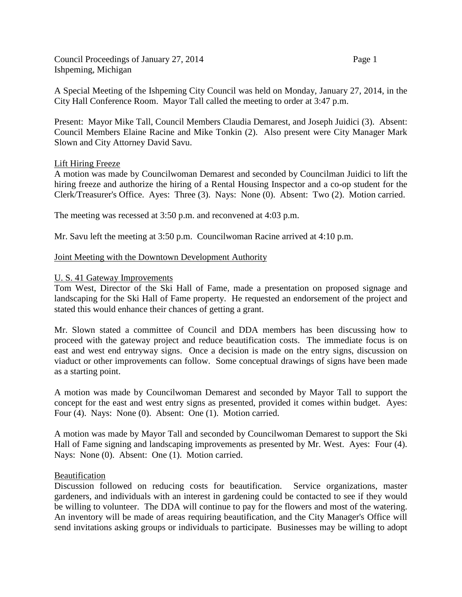Council Proceedings of January 27, 2014 Page 1 Ishpeming, Michigan

A Special Meeting of the Ishpeming City Council was held on Monday, January 27, 2014, in the City Hall Conference Room. Mayor Tall called the meeting to order at 3:47 p.m.

Present: Mayor Mike Tall, Council Members Claudia Demarest, and Joseph Juidici (3). Absent: Council Members Elaine Racine and Mike Tonkin (2). Also present were City Manager Mark Slown and City Attorney David Savu.

## Lift Hiring Freeze

A motion was made by Councilwoman Demarest and seconded by Councilman Juidici to lift the hiring freeze and authorize the hiring of a Rental Housing Inspector and a co-op student for the Clerk/Treasurer's Office. Ayes: Three (3). Nays: None (0). Absent: Two (2). Motion carried.

The meeting was recessed at 3:50 p.m. and reconvened at 4:03 p.m.

Mr. Savu left the meeting at 3:50 p.m. Councilwoman Racine arrived at 4:10 p.m.

# Joint Meeting with the Downtown Development Authority

## U. S. 41 Gateway Improvements

Tom West, Director of the Ski Hall of Fame, made a presentation on proposed signage and landscaping for the Ski Hall of Fame property. He requested an endorsement of the project and stated this would enhance their chances of getting a grant.

Mr. Slown stated a committee of Council and DDA members has been discussing how to proceed with the gateway project and reduce beautification costs. The immediate focus is on east and west end entryway signs. Once a decision is made on the entry signs, discussion on viaduct or other improvements can follow. Some conceptual drawings of signs have been made as a starting point.

A motion was made by Councilwoman Demarest and seconded by Mayor Tall to support the concept for the east and west entry signs as presented, provided it comes within budget. Ayes: Four (4). Nays: None (0). Absent: One (1). Motion carried.

A motion was made by Mayor Tall and seconded by Councilwoman Demarest to support the Ski Hall of Fame signing and landscaping improvements as presented by Mr. West. Ayes: Four (4). Nays: None (0). Absent: One (1). Motion carried.

## **Beautification**

Discussion followed on reducing costs for beautification. Service organizations, master gardeners, and individuals with an interest in gardening could be contacted to see if they would be willing to volunteer. The DDA will continue to pay for the flowers and most of the watering. An inventory will be made of areas requiring beautification, and the City Manager's Office will send invitations asking groups or individuals to participate. Businesses may be willing to adopt